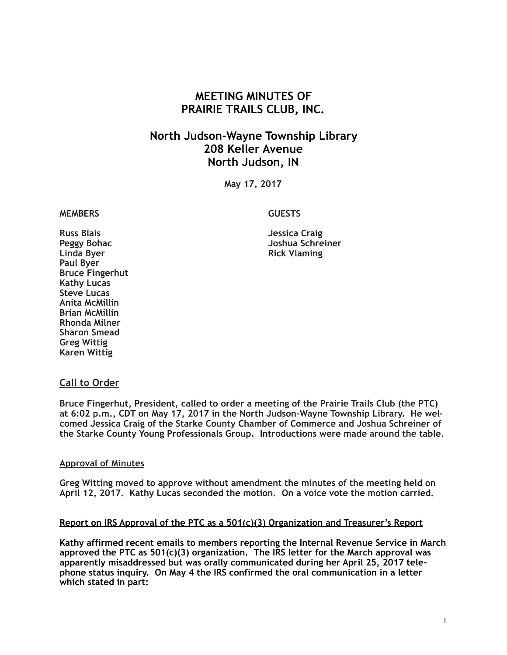# **MEETING MINUTES OF PRAIRIE TRAILS CLUB, INC.**

# **North Judson-Wayne Township Library 208 Keller Avenue North Judson, IN**

**May 17, 2017**

#### **MEMBERS GUESTS**

Peggy Bohac **Discussed Boston Controllering Schreiner** Joshua Schreiner<br>
Linda Bver **Rick Vlaming** 

**Russ Blais Jessica Craig Paul Byer Bruce Fingerhut Kathy Lucas Steve Lucas Anita McMillin Brian McMillin Rhonda Milner Sharon Smead Greg Wittig Karen Wittig**

## **Call to Order**

**Bruce Fingerhut, President, called to order a meeting of the Prairie Trails Club (the PTC) at 6:02 p.m., CDT on May 17, 2017 in the North Judson-Wayne Township Library. He welcomed Jessica Craig of the Starke County Chamber of Commerce and Joshua Schreiner of the Starke County Young Professionals Group. Introductions were made around the table.**

#### **Approval of Minutes**

**Greg Witting moved to approve without amendment the minutes of the meeting held on April 12, 2017. Kathy Lucas seconded the motion. On a voice vote the motion carried.**

#### **Report on IRS Approval of the PTC as a 501(c)(3) Organization and Treasurer's Report**

**Kathy affirmed recent emails to members reporting the Internal Revenue Service in March approved the PTC as 501(c)(3) organization. The IRS letter for the March approval was apparently misaddressed but was orally communicated during her April 25, 2017 telephone status inquiry. On May 4 the IRS confirmed the oral communication in a letter which stated in part:**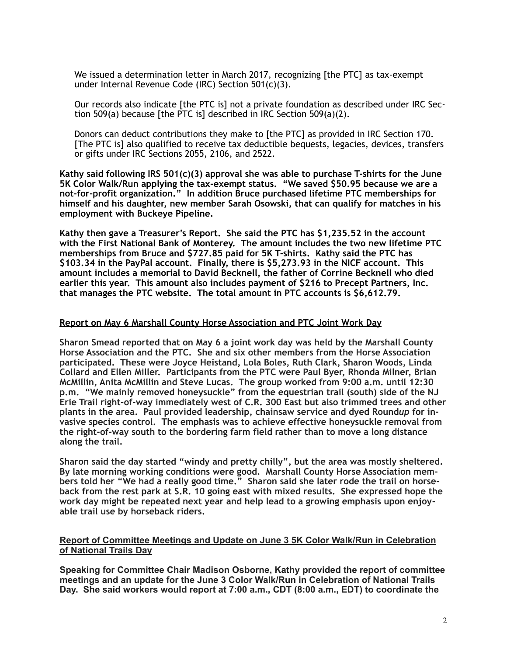We issued a determination letter in March 2017, recognizing [the PTC] as tax-exempt under Internal Revenue Code (IRC) Section 501(c)(3).

Our records also indicate [the PTC is] not a private foundation as described under IRC Section 509(a) because [the PTC is] described in IRC Section 509(a)(2).

Donors can deduct contributions they make to [the PTC] as provided in IRC Section 170. [The PTC is] also qualified to receive tax deductible bequests, legacies, devices, transfers or gifts under IRC Sections 2055, 2106, and 2522.

**Kathy said following IRS 501(c)(3) approval she was able to purchase T-shirts for the June 5K Color Walk/Run applying the tax-exempt status. "We saved \$50.95 because we are a not-for-profit organization." In addition Bruce purchased lifetime PTC memberships for himself and his daughter, new member Sarah Osowski, that can qualify for matches in his employment with Buckeye Pipeline.** 

**Kathy then gave a Treasurer's Report. She said the PTC has \$1,235.52 in the account with the First National Bank of Monterey. The amount includes the two new lifetime PTC memberships from Bruce and \$727.85 paid for 5K T-shirts. Kathy said the PTC has \$103.34 in the PayPal account. Finally, there is \$5,273.93 in the NICF account. This amount includes a memorial to David Becknell, the father of Corrine Becknell who died earlier this year. This amount also includes payment of \$216 to Precept Partners, Inc. that manages the PTC website. The total amount in PTC accounts is \$6,612.79.**

#### **Report on May 6 Marshall County Horse Association and PTC Joint Work Day**

**Sharon Smead reported that on May 6 a joint work day was held by the Marshall County Horse Association and the PTC. She and six other members from the Horse Association participated. These were Joyce Heistand, Lola Boles, Ruth Clark, Sharon Woods, Linda Collard and Ellen Miller. Participants from the PTC were Paul Byer, Rhonda Milner, Brian McMillin, Anita McMillin and Steve Lucas. The group worked from 9:00 a.m. until 12:30 p.m. "We mainly removed honeysuckle" from the equestrian trail (south) side of the NJ Erie Trail right-of-way immediately west of C.R. 300 East but also trimmed trees and other plants in the area. Paul provided leadership, chainsaw service and dyed Round***up* **for invasive species control. The emphasis was to achieve effective honeysuckle removal from the right-of-way south to the bordering farm field rather than to move a long distance along the trail.** 

**Sharon said the day started "windy and pretty chilly", but the area was mostly sheltered. By late morning working conditions were good. Marshall County Horse Association members told her "We had a really good time." Sharon said she later rode the trail on horseback from the rest park at S.R. 10 going east with mixed results. She expressed hope the work day might be repeated next year and help lead to a growing emphasis upon enjoyable trail use by horseback riders.** 

#### **Report of Committee Meetings and Update on June 3 5K Color Walk/Run in Celebration of National Trails Day**

**Speaking for Committee Chair Madison Osborne, Kathy provided the report of committee meetings and an update for the June 3 Color Walk/Run in Celebration of National Trails Day. She said workers would report at 7:00 a.m., CDT (8:00 a.m., EDT) to coordinate the**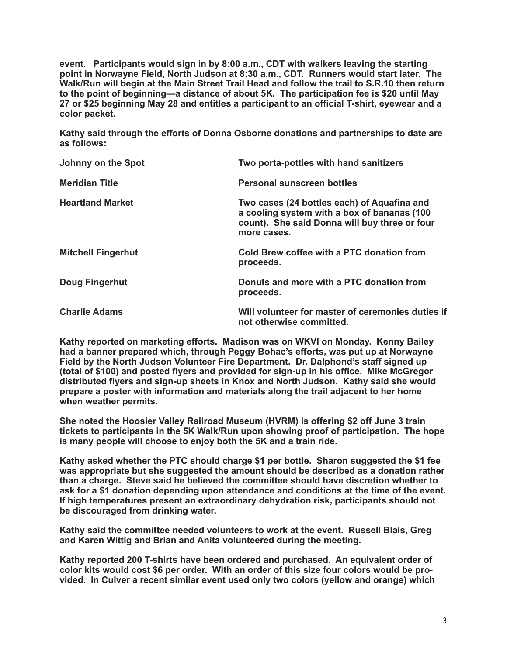**event. Participants would sign in by 8:00 a.m., CDT with walkers leaving the starting point in Norwayne Field, North Judson at 8:30 a.m., CDT. Runners would start later. The Walk/Run will begin at the Main Street Trail Head and follow the trail to S.R.10 then return to the point of beginning—a distance of about 5K. The participation fee is \$20 until May 27 or \$25 beginning May 28 and entitles a participant to an official T-shirt, eyewear and a color packet.** 

**Kathy said through the efforts of Donna Osborne donations and partnerships to date are as follows:** 

| Johnny on the Spot        | Two porta-potties with hand sanitizers                                                                                                                      |
|---------------------------|-------------------------------------------------------------------------------------------------------------------------------------------------------------|
| <b>Meridian Title</b>     | <b>Personal sunscreen bottles</b>                                                                                                                           |
| <b>Heartland Market</b>   | Two cases (24 bottles each) of Aquafina and<br>a cooling system with a box of bananas (100)<br>count). She said Donna will buy three or four<br>more cases. |
| <b>Mitchell Fingerhut</b> | Cold Brew coffee with a PTC donation from<br>proceeds.                                                                                                      |
| Doug Fingerhut            | Donuts and more with a PTC donation from<br>proceeds.                                                                                                       |
| <b>Charlie Adams</b>      | Will volunteer for master of ceremonies duties if<br>not otherwise committed.                                                                               |

**Kathy reported on marketing efforts. Madison was on WKVI on Monday. Kenny Bailey had a banner prepared which, through Peggy Bohac's efforts, was put up at Norwayne Field by the North Judson Volunteer Fire Department. Dr. Dalphond's staff signed up (total of \$100) and posted flyers and provided for sign-up in his office. Mike McGregor distributed flyers and sign-up sheets in Knox and North Judson. Kathy said she would prepare a poster with information and materials along the trail adjacent to her home when weather permits.** 

**She noted the Hoosier Valley Railroad Museum (HVRM) is offering \$2 off June 3 train tickets to participants in the 5K Walk/Run upon showing proof of participation. The hope is many people will choose to enjoy both the 5K and a train ride.** 

**Kathy asked whether the PTC should charge \$1 per bottle. Sharon suggested the \$1 fee was appropriate but she suggested the amount should be described as a donation rather than a charge. Steve said he believed the committee should have discretion whether to ask for a \$1 donation depending upon attendance and conditions at the time of the event. If high temperatures present an extraordinary dehydration risk, participants should not be discouraged from drinking water.** 

**Kathy said the committee needed volunteers to work at the event. Russell Blais, Greg and Karen Wittig and Brian and Anita volunteered during the meeting.** 

**Kathy reported 200 T-shirts have been ordered and purchased. An equivalent order of color kits would cost \$6 per order. With an order of this size four colors would be provided. In Culver a recent similar event used only two colors (yellow and orange) which**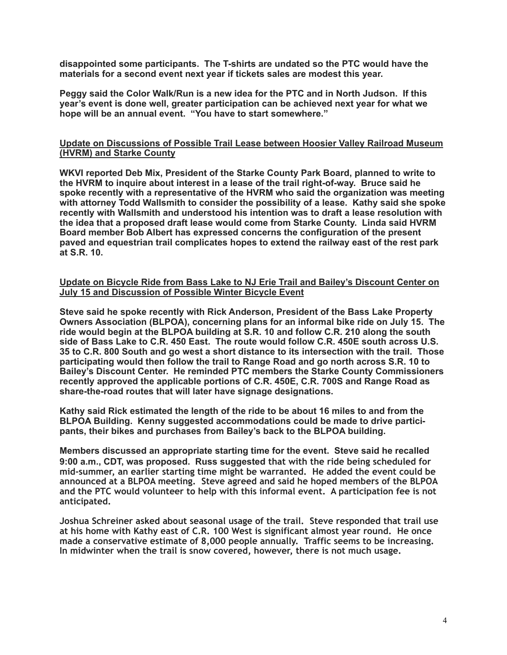**disappointed some participants. The T-shirts are undated so the PTC would have the materials for a second event next year if tickets sales are modest this year.** 

**Peggy said the Color Walk/Run is a new idea for the PTC and in North Judson. If this year's event is done well, greater participation can be achieved next year for what we hope will be an annual event. "You have to start somewhere."** 

### **Update on Discussions of Possible Trail Lease between Hoosier Valley Railroad Museum (HVRM) and Starke County**

**WKVI reported Deb Mix, President of the Starke County Park Board, planned to write to the HVRM to inquire about interest in a lease of the trail right-of-way. Bruce said he spoke recently with a representative of the HVRM who said the organization was meeting with attorney Todd Wallsmith to consider the possibility of a lease. Kathy said she spoke recently with Wallsmith and understood his intention was to draft a lease resolution with the idea that a proposed draft lease would come from Starke County. Linda said HVRM Board member Bob Albert has expressed concerns the configuration of the present paved and equestrian trail complicates hopes to extend the railway east of the rest park at S.R. 10.** 

#### **Update on Bicycle Ride from Bass Lake to NJ Erie Trail and Bailey's Discount Center on July 15 and Discussion of Possible Winter Bicycle Event**

**Steve said he spoke recently with Rick Anderson, President of the Bass Lake Property Owners Association (BLPOA), concerning plans for an informal bike ride on July 15. The ride would begin at the BLPOA building at S.R. 10 and follow C.R. 210 along the south side of Bass Lake to C.R. 450 East. The route would follow C.R. 450E south across U.S. 35 to C.R. 800 South and go west a short distance to its intersection with the trail. Those participating would then follow the trail to Range Road and go north across S.R. 10 to Bailey's Discount Center. He reminded PTC members the Starke County Commissioners recently approved the applicable portions of C.R. 450E, C.R. 700S and Range Road as share-the-road routes that will later have signage designations.** 

**Kathy said Rick estimated the length of the ride to be about 16 miles to and from the BLPOA Building. Kenny suggested accommodations could be made to drive participants, their bikes and purchases from Bailey's back to the BLPOA building.** 

**Members discussed an appropriate starting time for the event. Steve said he recalled 9:00 a.m., CDT, was proposed. Russ suggested that with the ride being scheduled for mid-summer, an earlier starting time might be warranted. He added the event could be announced at a BLPOA meeting. Steve agreed and said he hoped members of the BLPOA and the PTC would volunteer to help with this informal event. A participation fee is not anticipated.** 

**Joshua Schreiner asked about seasonal usage of the trail. Steve responded that trail use at his home with Kathy east of C.R. 100 West is significant almost year round. He once made a conservative estimate of 8,000 people annually. Traffic seems to be increasing. In midwinter when the trail is snow covered, however, there is not much usage.**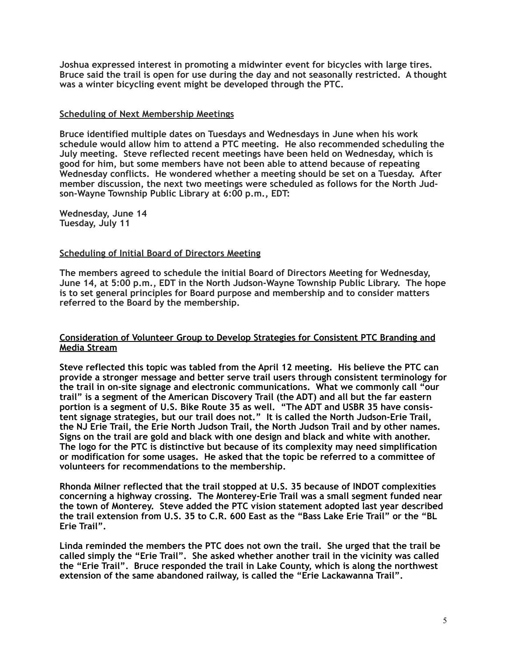**Joshua expressed interest in promoting a midwinter event for bicycles with large tires. Bruce said the trail is open for use during the day and not seasonally restricted. A thought was a winter bicycling event might be developed through the PTC.** 

### **Scheduling of Next Membership Meetings**

**Bruce identified multiple dates on Tuesdays and Wednesdays in June when his work schedule would allow him to attend a PTC meeting. He also recommended scheduling the July meeting. Steve reflected recent meetings have been held on Wednesday, which is good for him, but some members have not been able to attend because of repeating Wednesday conflicts. He wondered whether a meeting should be set on a Tuesday. After member discussion, the next two meetings were scheduled as follows for the North Judson-Wayne Township Public Library at 6:00 p.m., EDT:** 

**Wednesday, June 14 Tuesday, July 11** 

#### **Scheduling of Initial Board of Directors Meeting**

**The members agreed to schedule the initial Board of Directors Meeting for Wednesday, June 14, at 5:00 p.m., EDT in the North Judson-Wayne Township Public Library. The hope is to set general principles for Board purpose and membership and to consider matters referred to the Board by the membership.**

#### **Consideration of Volunteer Group to Develop Strategies for Consistent PTC Branding and Media Stream**

**Steve reflected this topic was tabled from the April 12 meeting. His believe the PTC can provide a stronger message and better serve trail users through consistent terminology for the trail in on-site signage and electronic communications. What we commonly call "our trail" is a segment of the American Discovery Trail (the ADT) and all but the far eastern portion is a segment of U.S. Bike Route 35 as well. "The ADT and USBR 35 have consistent signage strategies, but our trail does not." It is called the North Judson-Erie Trail, the NJ Erie Trail, the Erie North Judson Trail, the North Judson Trail and by other names. Signs on the trail are gold and black with one design and black and white with another. The logo for the PTC is distinctive but because of its complexity may need simplification or modification for some usages. He asked that the topic be referred to a committee of volunteers for recommendations to the membership.** 

**Rhonda Milner reflected that the trail stopped at U.S. 35 because of INDOT complexities concerning a highway crossing. The Monterey-Erie Trail was a small segment funded near the town of Monterey. Steve added the PTC vision statement adopted last year described the trail extension from U.S. 35 to C.R. 600 East as the "Bass Lake Erie Trail" or the "BL Erie Trail".** 

**Linda reminded the members the PTC does not own the trail. She urged that the trail be called simply the "Erie Trail". She asked whether another trail in the vicinity was called the "Erie Trail". Bruce responded the trail in Lake County, which is along the northwest extension of the same abandoned railway, is called the "Erie Lackawanna Trail".**